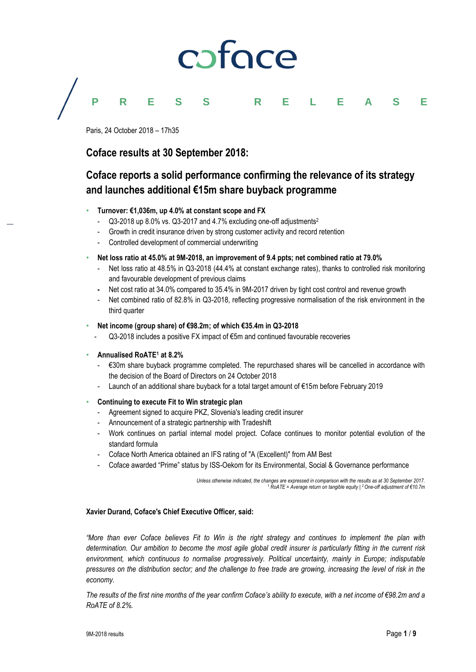

### **PRESS RELEASE**

Paris, 24 October 2018 – 17h35

### **Coface results at 30 September 2018:**

## **Coface reports a solid performance confirming the relevance of its strategy and launches additional €15m share buyback programme**

- **Turnover: €1,036m, up 4.0% at constant scope and FX**
	- Q3-2018 up 8.0% vs. Q3-2017 and 4.7% excluding one-off adjustments<sup>2</sup>
	- Growth in credit insurance driven by strong customer activity and record retention
	- Controlled development of commercial underwriting
- **Net loss ratio at 45.0% at 9M-2018, an improvement of 9.4 ppts; net combined ratio at 79.0%**
	- Net loss ratio at 48.5% in Q3-2018 (44.4% at constant exchange rates), thanks to controlled risk monitoring and favourable development of previous claims
	- **-** Net cost ratio at 34.0% compared to 35.4% in 9M-2017 driven by tight cost control and revenue growth
	- Net combined ratio of 82.8% in Q3-2018, reflecting progressive normalisation of the risk environment in the third quarter
- **Net income (group share) of €98.2m; of which €35.4m in Q3-2018**
	- Q3-2018 includes a positive FX impact of €5m and continued favourable recoveries
- **Annualised RoATE<sup>1</sup> at 8.2%**
	- €30m share buyback programme completed. The repurchased shares will be cancelled in accordance with the decision of the Board of Directors on 24 October 2018
	- Launch of an additional share buyback for a total target amount of €15m before February 2019
- **Continuing to execute Fit to Win strategic plan**
	- Agreement signed to acquire PKZ, Slovenia's leading credit insurer
	- Announcement of a strategic partnership with Tradeshift
	- Work continues on partial internal model project. Coface continues to monitor potential evolution of the standard formula
	- Coface North America obtained an IFS rating of "A (Excellent)" from AM Best
	- Coface awarded "Prime" status by ISS-Oekom for its Environmental, Social & Governance performance

*Unless otherwise indicated, the changes are expressed in comparison with the results as at 30 September 2017. <sup>1</sup> RoATE = Average return on tangible equity | <sup>2</sup>One-off adjustment of €10.7m* 

#### **Xavier Durand, Coface's Chief Executive Officer, said:**

*"More than ever Coface believes Fit to Win is the right strategy and continues to implement the plan with determination. Our ambition to become the most agile global credit insurer is particularly fitting in the current risk environment, which continuous to normalise progressively. Political uncertainty, mainly in Europe; indisputable pressures on the distribution sector; and the challenge to free trade are growing, increasing the level of risk in the economy.*

*The results of the first nine months of the year confirm Coface's ability to execute, with a net income of €98.2m and a RoATE of 8.2%.*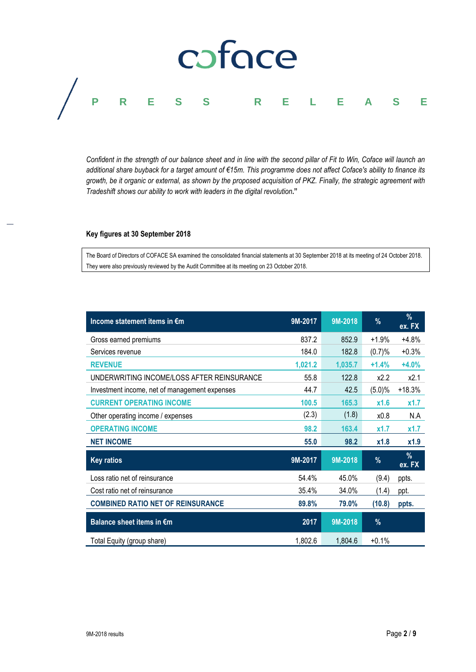## coface **PRESS RELEASE**

*Confident in the strength of our balance sheet and in line with the second pillar of Fit to Win, Coface will launch an additional share buyback for a target amount of €15m. This programme does not affect Coface's ability to finance its growth, be it organic or external, as shown by the proposed acquisition of PKZ. Finally, the strategic agreement with Tradeshift shows our ability to work with leaders in the digital revolution***."**

#### **Key figures at 30 September 2018**

The Board of Directors of COFACE SA examined the consolidated financial statements at 30 September 2018 at its meeting of 24 October 2018. They were also previously reviewed by the Audit Committee at its meeting on 23 October 2018.

| Income statement items in €m                  | 9M-2017 | 9M-2018 | %       | $\frac{9}{6}$<br>ex. FX |
|-----------------------------------------------|---------|---------|---------|-------------------------|
| Gross earned premiums                         | 837.2   | 852.9   | $+1.9%$ | $+4.8%$                 |
| Services revenue                              | 184.0   | 182.8   | (0.7)%  | $+0.3%$                 |
| <b>REVENUE</b>                                | 1,021.2 | 1,035.7 | $+1.4%$ | $+4.0%$                 |
| UNDERWRITING INCOME/LOSS AFTER REINSURANCE    | 55.8    | 122.8   | x2.2    | x2.1                    |
| Investment income, net of management expenses | 44.7    | 42.5    | (5.0)%  | $+18.3%$                |
| <b>CURRENT OPERATING INCOME</b>               | 100.5   | 165.3   | x1.6    | x1.7                    |
| Other operating income / expenses             | (2.3)   | (1.8)   | x0.8    | N.A                     |
| <b>OPERATING INCOME</b>                       | 98.2    | 163.4   | x1.7    | x1.7                    |
| <b>NET INCOME</b>                             | 55.0    | 98.2    | x1.8    | x1.9                    |
| <b>Key ratios</b>                             | 9M-2017 | 9M-2018 | $\%$    | $\%$<br>ex. FX          |
| Loss ratio net of reinsurance                 | 54.4%   | 45.0%   | (9.4)   | ppts.                   |
| Cost ratio net of reinsurance                 | 35.4%   | 34.0%   | (1.4)   | ppt.                    |
| <b>COMBINED RATIO NET OF REINSURANCE</b>      | 89.8%   | 79.0%   | (10.8)  | ppts.                   |
| Balance sheet items in €m                     | 2017    | 9M-2018 | %       |                         |
| Total Equity (group share)                    | 1,802.6 | 1,804.6 | $+0.1%$ |                         |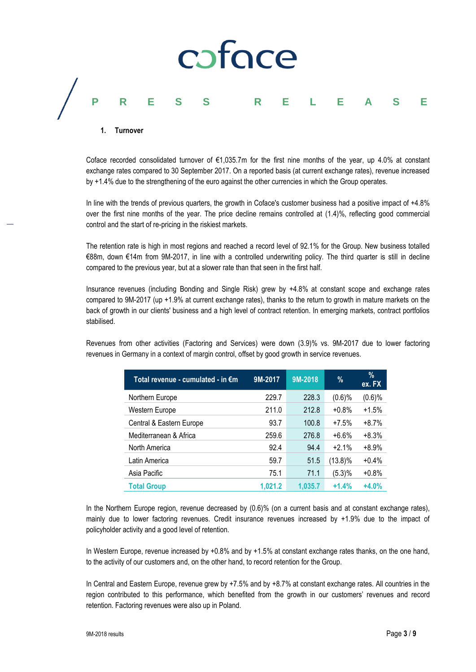# coface **PRESS RELEASE**

#### **1. Turnover**

Coface recorded consolidated turnover of €1,035.7m for the first nine months of the year, up 4.0% at constant exchange rates compared to 30 September 2017. On a reported basis (at current exchange rates), revenue increased by +1.4% due to the strengthening of the euro against the other currencies in which the Group operates.

In line with the trends of previous quarters, the growth in Coface's customer business had a positive impact of +4.8% over the first nine months of the year. The price decline remains controlled at (1.4)%, reflecting good commercial control and the start of re-pricing in the riskiest markets.

The retention rate is high in most regions and reached a record level of 92.1% for the Group. New business totalled €88m, down €14m from 9M-2017, in line with a controlled underwriting policy. The third quarter is still in decline compared to the previous year, but at a slower rate than that seen in the first half.

Insurance revenues (including Bonding and Single Risk) grew by +4.8% at constant scope and exchange rates compared to 9M-2017 (up +1.9% at current exchange rates), thanks to the return to growth in mature markets on the back of growth in our clients' business and a high level of contract retention. In emerging markets, contract portfolios stabilised.

Revenues from other activities (Factoring and Services) were down (3.9)% vs. 9M-2017 due to lower factoring revenues in Germany in a context of margin control, offset by good growth in service revenues.

| Total revenue - cumulated - in €m | 9M-2017 | 9M-2018 | %          | $\%$<br>ex. FX |
|-----------------------------------|---------|---------|------------|----------------|
| Northern Europe                   | 229.7   | 228.3   | $(0.6)$ %  | $(0.6)$ %      |
| Western Europe                    | 211.0   | 212.8   | $+0.8%$    | $+1.5%$        |
| Central & Eastern Europe          | 93.7    | 100.8   | $+7.5%$    | $+8.7%$        |
| Mediterranean & Africa            | 259.6   | 276.8   | $+6.6%$    | $+8.3%$        |
| North America                     | 92.4    | 94.4    | $+2.1%$    | $+8.9%$        |
| Latin America                     | 59.7    | 51.5    | $(13.8)\%$ | $+0.4%$        |
| Asia Pacific                      | 75.1    | 71.1    | (5.3)%     | $+0.8%$        |
| <b>Total Group</b>                | 1.021.2 | 1.035.7 | $+1.4%$    | $+4.0%$        |

In the Northern Europe region, revenue decreased by (0.6)% (on a current basis and at constant exchange rates), mainly due to lower factoring revenues. Credit insurance revenues increased by +1.9% due to the impact of policyholder activity and a good level of retention.

In Western Europe, revenue increased by +0.8% and by +1.5% at constant exchange rates thanks, on the one hand, to the activity of our customers and, on the other hand, to record retention for the Group.

In Central and Eastern Europe, revenue grew by +7.5% and by +8.7% at constant exchange rates. All countries in the region contributed to this performance, which benefited from the growth in our customers' revenues and record retention. Factoring revenues were also up in Poland.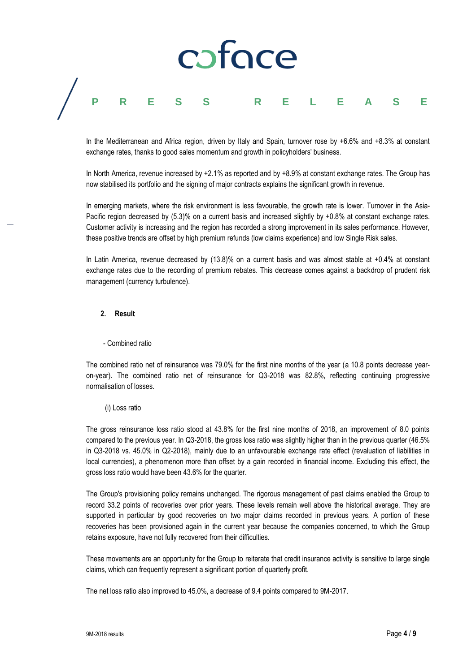## caface **PRESS RELEASE**

In the Mediterranean and Africa region, driven by Italy and Spain, turnover rose by +6.6% and +8.3% at constant exchange rates, thanks to good sales momentum and growth in policyholders' business.

In North America, revenue increased by +2.1% as reported and by +8.9% at constant exchange rates. The Group has now stabilised its portfolio and the signing of major contracts explains the significant growth in revenue.

In emerging markets, where the risk environment is less favourable, the growth rate is lower. Turnover in the Asia-Pacific region decreased by (5.3)% on a current basis and increased slightly by +0.8% at constant exchange rates. Customer activity is increasing and the region has recorded a strong improvement in its sales performance. However, these positive trends are offset by high premium refunds (low claims experience) and low Single Risk sales.

In Latin America, revenue decreased by (13.8)% on a current basis and was almost stable at +0.4% at constant exchange rates due to the recording of premium rebates. This decrease comes against a backdrop of prudent risk management (currency turbulence).

#### **2. Result**

#### - Combined ratio

The combined ratio net of reinsurance was 79.0% for the first nine months of the year (a 10.8 points decrease yearon-year). The combined ratio net of reinsurance for Q3-2018 was 82.8%, reflecting continuing progressive normalisation of losses.

#### (i) Loss ratio

The gross reinsurance loss ratio stood at 43.8% for the first nine months of 2018, an improvement of 8.0 points compared to the previous year. In Q3-2018, the gross loss ratio was slightly higher than in the previous quarter (46.5% in Q3-2018 vs. 45.0% in Q2-2018), mainly due to an unfavourable exchange rate effect (revaluation of liabilities in local currencies), a phenomenon more than offset by a gain recorded in financial income. Excluding this effect, the gross loss ratio would have been 43.6% for the quarter.

The Group's provisioning policy remains unchanged. The rigorous management of past claims enabled the Group to record 33.2 points of recoveries over prior years. These levels remain well above the historical average. They are supported in particular by good recoveries on two major claims recorded in previous years. A portion of these recoveries has been provisioned again in the current year because the companies concerned, to which the Group retains exposure, have not fully recovered from their difficulties.

These movements are an opportunity for the Group to reiterate that credit insurance activity is sensitive to large single claims, which can frequently represent a significant portion of quarterly profit.

The net loss ratio also improved to 45.0%, a decrease of 9.4 points compared to 9M-2017.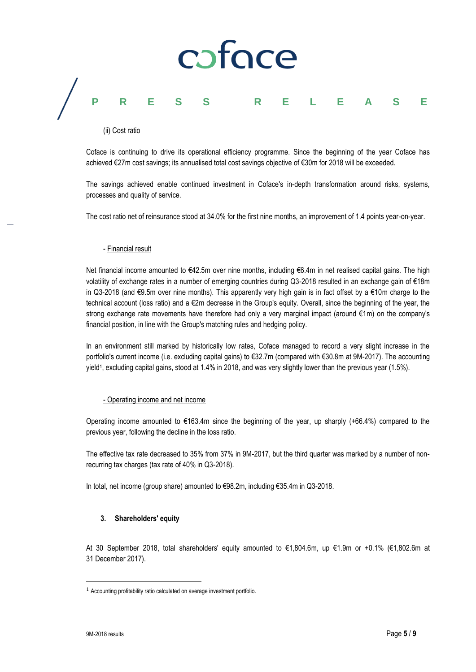# caface **PRESS RELEASE**

#### (ii) Cost ratio

Coface is continuing to drive its operational efficiency programme. Since the beginning of the year Coface has achieved €27m cost savings; its annualised total cost savings objective of €30m for 2018 will be exceeded.

The savings achieved enable continued investment in Coface's in-depth transformation around risks, systems, processes and quality of service.

The cost ratio net of reinsurance stood at 34.0% for the first nine months, an improvement of 1.4 points year-on-year.

#### - Financial result

Net financial income amounted to €42.5m over nine months, including €6.4m in net realised capital gains. The high volatility of exchange rates in a number of emerging countries during Q3-2018 resulted in an exchange gain of €18m in Q3-2018 (and €9.5m over nine months). This apparently very high gain is in fact offset by a €10m charge to the technical account (loss ratio) and a €2m decrease in the Group's equity. Overall, since the beginning of the year, the strong exchange rate movements have therefore had only a very marginal impact (around €1m) on the company's financial position, in line with the Group's matching rules and hedging policy.

In an environment still marked by historically low rates, Coface managed to record a very slight increase in the portfolio's current income (i.e. excluding capital gains) to €32.7m (compared with €30.8m at 9M-2017). The accounting yield<sup>1</sup> , excluding capital gains, stood at 1.4% in 2018, and was very slightly lower than the previous year (1.5%).

#### - Operating income and net income

Operating income amounted to €163.4m since the beginning of the year, up sharply (+66.4%) compared to the previous year, following the decline in the loss ratio.

The effective tax rate decreased to 35% from 37% in 9M-2017, but the third quarter was marked by a number of nonrecurring tax charges (tax rate of 40% in Q3-2018).

In total, net income (group share) amounted to €98.2m, including €35.4m in Q3-2018.

#### **3. Shareholders' equity**

At 30 September 2018, total shareholders' equity amounted to €1,804.6m, up €1.9m or +0.1% (€1,802.6m at 31 December 2017).

 $\overline{a}$ 

<sup>1</sup> Accounting profitability ratio calculated on average investment portfolio.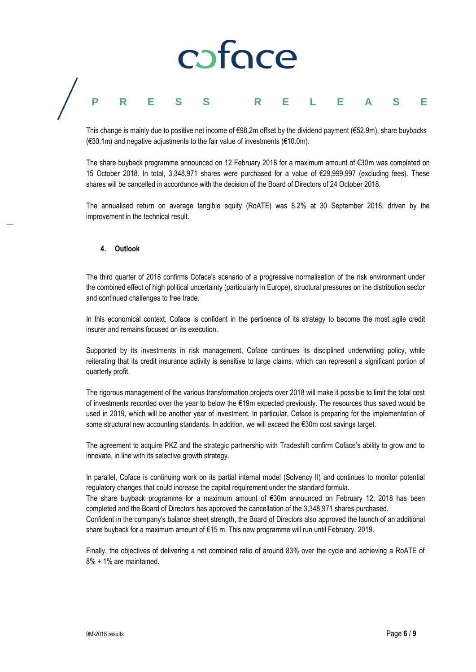## caface **PRESS RELEASE**

This change is mainly due to positive net income of €98.2m offset by the dividend payment (€52.9m), share buybacks  $(630.1\text{m})$  and negative adjustments to the fair value of investments ( $610.0\text{m}$ ).

The share buyback programme announced on 12 February 2018 for a maximum amount of €30m was completed on 15 October 2018. In total, 3,348,971 shares were purchased for a value of €29,999,997 (excluding fees). These shares will be cancelled in accordance with the decision of the Board of Directors of 24 October 2018.

The annualised return on average tangible equity (RoATE) was 8.2% at 30 September 2018, driven by the improvement in the technical result.

#### **4. Outlook**

The third quarter of 2018 confirms Coface's scenario of a progressive normalisation of the risk environment under the combined effect of high political uncertainty (particularly in Europe), structural pressures on the distribution sector and continued challenges to free trade.

In this economical context, Coface is confident in the pertinence of its strategy to become the most agile credit insurer and remains focused on its execution.

Supported by its investments in risk management, Coface continues its disciplined underwriting policy, while reiterating that its credit insurance activity is sensitive to large claims, which can represent a significant portion of quarterly profit.

The rigorous management of the various transformation projects over 2018 will make it possible to limit the total cost of investments recorded over the year to below the €19m expected previously. The resources thus saved would be used in 2019, which will be another year of investment. In particular, Coface is preparing for the implementation of some structural new accounting standards. In addition, we will exceed the €30m cost savings target.

The agreement to acquire PKZ and the strategic partnership with Tradeshift confirm Coface's ability to grow and to innovate, in line with its selective growth strategy.

In parallel, Coface is continuing work on its partial internal model (Solvency II) and continues to monitor potential regulatory changes that could increase the capital requirement under the standard formula.

The share buyback programme for a maximum amount of €30m announced on February 12, 2018 has been completed and the Board of Directors has approved the cancellation of the 3,348,971 shares purchased.

Confident in the company's balance sheet strength, the Board of Directors also approved the launch of an additional share buyback for a maximum amount of €15 m. This new programme will run until February, 2019.

Finally, the objectives of delivering a net combined ratio of around 83% over the cycle and achieving a RoATE of 8% + 1% are maintained.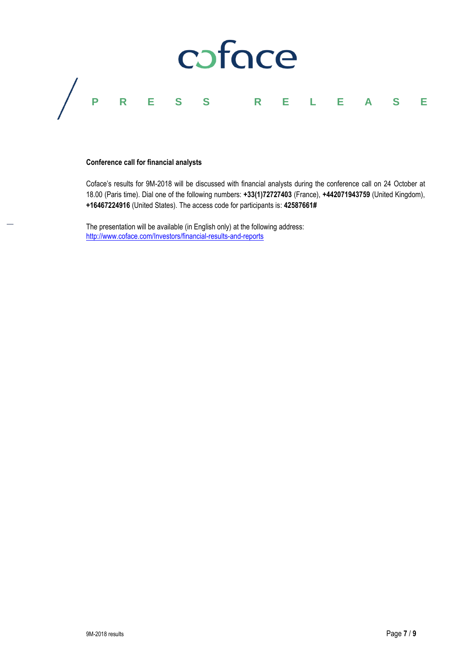

#### **Conference call for financial analysts**

Coface's results for 9M-2018 will be discussed with financial analysts during the conference call on 24 October at 18.00 (Paris time). Dial one of the following numbers: **+33(1)72727403** (France), **+442071943759** (United Kingdom), **+16467224916** (United States). The access code for participants is: **42587661#**

The presentation will be available (in English only) at the following address: http://www.coface.com/Investors/financial-results-and-reports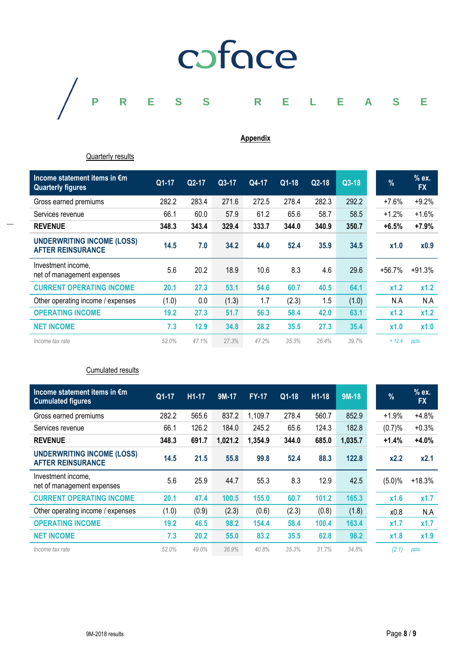

### **Appendix**

Quarterly results

| Income statement items in €m<br><b>Quarterly figures</b>      | $Q1-17$ | Q2-17 | Q3-17 | Q4-17 | $Q1-18$ | $Q2-18$ | Q3-18 | %        | $%$ ex.<br><b>FX</b> |
|---------------------------------------------------------------|---------|-------|-------|-------|---------|---------|-------|----------|----------------------|
| Gross earned premiums                                         | 282.2   | 283.4 | 271.6 | 272.5 | 278.4   | 282.3   | 292.2 | $+7.6%$  | $+9.2%$              |
| Services revenue                                              | 66.1    | 60.0  | 57.9  | 61.2  | 65.6    | 58.7    | 58.5  | $+1.2%$  | $+1.6%$              |
| <b>REVENUE</b>                                                | 348.3   | 343.4 | 329.4 | 333.7 | 344.0   | 340.9   | 350.7 | $+6.5%$  | $+7.9%$              |
| <b>UNDERWRITING INCOME (LOSS)</b><br><b>AFTER REINSURANCE</b> | 14.5    | 7.0   | 34.2  | 44.0  | 52.4    | 35.9    | 34.5  | x1.0     | x0.9                 |
| Investment income.<br>net of management expenses              | 5.6     | 20.2  | 18.9  | 10.6  | 8.3     | 4.6     | 29.6  | $+56.7%$ | $+91.3%$             |
| <b>CURRENT OPERATING INCOME</b>                               | 20.1    | 27.3  | 53.1  | 54.6  | 60.7    | 40.5    | 64.1  | x1.2     | x1.2                 |
| Other operating income / expenses                             | (1.0)   | 0.0   | (1.3) | 1.7   | (2.3)   | 1.5     | (1.0) | N.A      | N.A                  |
| <b>OPERATING INCOME</b>                                       | 19.2    | 27.3  | 51.7  | 56.3  | 58.4    | 42.0    | 63.1  | x1.2     | x1.2                 |
| <b>NET INCOME</b>                                             | 7.3     | 12.9  | 34.8  | 28.2  | 35.5    | 27.3    | 35.4  | x1.0     | x1.0                 |
| Income tax rate                                               | 52.0%   | 47.1% | 27.3% | 47.2% | 35.3%   | 26.4%   | 39.7% | $+ 12.4$ | ppts.                |

Cumulated results

| Income statement items in $\epsilon$ m<br><b>Cumulated figures</b> | Q1-17 | H <sub>1</sub> -17 | 9M-17   | <b>FY-17</b> | Q1-18 | $H1-18$ | $9M-18$ | $\frac{9}{6}$ | $%$ ex.<br><b>FX</b> |
|--------------------------------------------------------------------|-------|--------------------|---------|--------------|-------|---------|---------|---------------|----------------------|
| Gross earned premiums                                              | 282.2 | 565.6              | 837.2   | 1,109.7      | 278.4 | 560.7   | 852.9   | $+1.9%$       | $+4.8%$              |
| Services revenue                                                   | 66.1  | 126.2              | 184.0   | 245.2        | 65.6  | 124.3   | 182.8   | (0.7)%        | $+0.3%$              |
| <b>REVENUE</b>                                                     | 348.3 | 691.7              | 1,021.2 | 1,354.9      | 344.0 | 685.0   | 1,035.7 | $+1.4%$       | $+4.0%$              |
| <b>UNDERWRITING INCOME (LOSS)</b><br><b>AFTER REINSURANCE</b>      | 14.5  | 21.5               | 55.8    | 99.8         | 52.4  | 88.3    | 122.8   | x2.2          | x2.1                 |
| Investment income,<br>net of management expenses                   | 5.6   | 25.9               | 44.7    | 55.3         | 8.3   | 12.9    | 42.5    | (5.0)%        | $+18.3%$             |
| <b>CURRENT OPERATING INCOME</b>                                    | 20.1  | 47.4               | 100.5   | 155.0        | 60.7  | 101.2   | 165.3   | x1.6          | x1.7                 |
| Other operating income / expenses                                  | (1.0) | (0.9)              | (2.3)   | (0.6)        | (2.3) | (0.8)   | (1.8)   | x0.8          | N.A                  |
| <b>OPERATING INCOME</b>                                            | 19.2  | 46.5               | 98.2    | 154.4        | 58.4  | 100.4   | 163.4   | x1.7          | x1.7                 |
| <b>NET INCOME</b>                                                  | 7.3   | 20.2               | 55.0    | 83.2         | 35.5  | 62.8    | 98.2    | x1.8          | x1.9                 |
| Income tax rate                                                    | 52.0% | 49.0%              | 36.9%   | 40.8%        | 35.3% | 31.7%   | 34.8%   | (2.1)         | ppts.                |